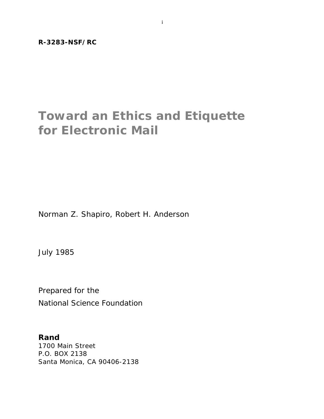# **Toward an Ethics and Etiquette for Electronic Mail**

Norman Z. Shapiro, Robert H. Anderson

July 1985

Prepared for the National Science Foundation

**Rand** 1700 Main Street P.O. BOX 2138 Santa Monica, CA 90406-2138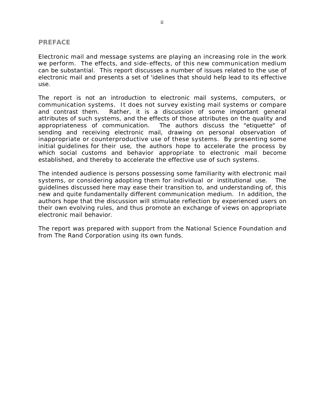#### **PREFACE**

Electronic mail and message systems are playing an increasing role in the work we perform. The effects, and side-effects, of this new communication medium can be substantial. This report discusses a number of issues related to the use of electronic mail and presents a set of 'idelines that should help lead to its effective use.

The report is not an introduction to electronic mail systems, computers, or communication systems. It does not survey existing mail systems or compare and contrast them. Rather, it is a discussion of some important general attributes of such systems, and the effects of those attributes on the quality and appropriateness of communication. The authors discuss the "etiquette" of sending and receiving electronic mail, drawing on personal observation of inappropriate or counterproductive use of these systems. By presenting some initial guidelines for their use, the authors hope to accelerate the process by which social customs and behavior appropriate to electronic mail become established, and thereby to accelerate the effective use of such systems.

The intended audience is persons possessing some familiarity with electronic mail systems, or considering adopting them for individual or institutional use. The guidelines discussed here may ease their transition to, and understanding of, this new and quite fundamentally different communication medium. In addition, the authors hope that the discussion will stimulate reflection by experienced users on their own evolving rules, and thus promote an exchange of views on appropriate electronic mail behavior.

The report was prepared with support from the National Science Foundation and from The Rand Corporation using its own funds.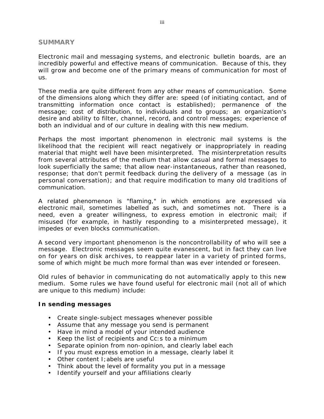#### **SUMMARY**

Electronic mail and messaging systems, and electronic bulletin boards, are an incredibly powerful and effective means of communication. Because of this, they will grow and become one of the primary means of communication for most of us.

These media are quite different from any other means of communication. Some of the dimensions along which they differ are: speed (of initiating contact, and of transmitting information once contact is established); permanence of the message; cost of distribution, to individuals and to groups; an organization's desire and ability to filter, channel, record, and control messages; experience of both an individual and of our culture in dealing with this new medium.

Perhaps the most important phenomenon in electronic mail systems is the likelihood that the recipient will react negatively or inappropriately in reading material that might well have been misinterpreted. The misinterpretation results from several attributes of the medium that allow casual and formal messages to look superficially the same; that allow near-instantaneous, rather than reasoned, response; that don't permit feedback during the delivery of a message (as in personal conversation); and that require modification to many old traditions of communication.

A related phenomenon is "flaming," in which emotions are expressed via electronic mail, sometimes labelled as such, and sometimes not. There is a need, even a greater willingness, to express emotion in electronic mail; if misused (for example, in hastily responding to a misinterpreted message), it impedes or even blocks communication.

A second very important phenomenon is the noncontrollability of who will see a message. Electronic messages seem quite evanescent, but in fact they can live on for years on disk archives, to reappear later in a variety of printed forms, some of which might be much more formal than was ever intended or foreseen.

Old rules of behavior in communicating do not automatically apply to this new medium. Some rules we have found useful for electronic mail (not all of which are unique to this medium) include:

## **In sending messages**

- Create single-subject messages whenever possible
- Assume that any message you send is permanent
- Have in mind a model of your intended audience
- Keep the list of recipients and Cc:s to a minimum
- Separate opinion from non-opinion, and clearly label each
- If you must express emotion in a message, clearly label it
- Other content I;abels are useful
- Think about the level of formality you put in a message
- Identify yourself and your affiliations clearly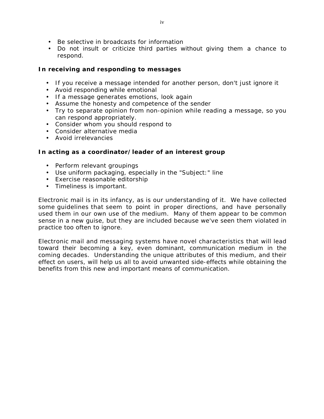- Be selective in broadcasts for information
- Do not insult or criticize third parties without giving them a chance to respond.

# **In receiving and responding to messages**

- If you receive a message intended for another person, don't just ignore it
- Avoid responding while emotional
- If a message generates emotions, look again
- Assume the honesty and competence of the sender
- Try to separate opinion from non-opinion while reading a message, so you can respond appropriately.
- Consider whom you should respond to
- Consider alternative media
- Avoid irrelevancies

## **In acting as a coordinator/leader of an interest group**

- Perform relevant groupings
- Use uniform packaging, especially in the "Subject:" line
- Exercise reasonable editorship
- Timeliness is important.

Electronic mail is in its infancy, as is our understanding of it. We have collected some guidelines that seem to point in proper directions, and have personally used them in our own use of the medium. Many of them appear to be common sense in a new guise, but they are included because we've seen them violated in practice too often to ignore.

Electronic mail and messaging systems have novel characteristics that will lead toward their becoming a key, even dominant, communication medium in the coming decades. Understanding the unique attributes of this medium, and their effect on users, will help us all to avoid unwanted side-effects while obtaining the benefits from this new and important means of communication.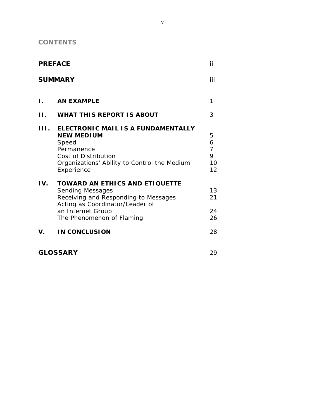**CONTENTS**

| <b>PREFACE</b><br><b>SUMMARY</b> |                                                                                                                                                                                               | ii                                                  |
|----------------------------------|-----------------------------------------------------------------------------------------------------------------------------------------------------------------------------------------------|-----------------------------------------------------|
|                                  |                                                                                                                                                                                               | iii                                                 |
| L.                               | <b>AN EXAMPLE</b>                                                                                                                                                                             | 1                                                   |
| П.                               | <b>WHAT THIS REPORT IS ABOUT</b>                                                                                                                                                              | 3                                                   |
| III.                             | ELECTRONIC MAIL IS A FUNDAMENTALLY<br><b>NEW MEDIUM</b><br><b>Speed</b><br>Permanence<br><b>Cost of Distribution</b><br>Organizations' Ability to Control the Medium<br>Experience            | $\mathbf 5$<br>6<br>$\overline{7}$<br>9<br>10<br>12 |
| IV.                              | <b>TOWARD AN ETHICS AND ETIQUETTE</b><br><b>Sending Messages</b><br>Receiving and Responding to Messages<br>Acting as Coordinator/Leader of<br>an Internet Group<br>The Phenomenon of Flaming | 13<br>21<br>24<br>26                                |
| V.                               | <b>IN CONCLUSION</b>                                                                                                                                                                          | 28                                                  |

**GLOSSARY** 29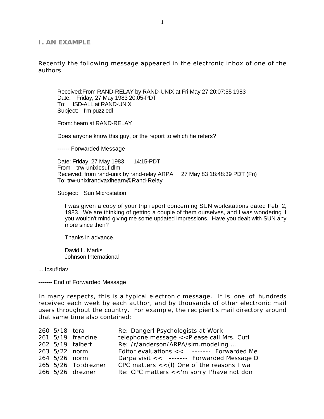#### **I. AN EXAMPLE**

Recently the following message appeared in the electronic inbox of one of the authors:

Received:From RAND-RELAY by RAND-UNIX at Fri May 27 20:07:55 1983 Date: Friday, 27 May 1983 20:05-PDT To: ISD-ALL at RAND-UNIX Subject: I'm puzzledl

From: hearn at RAND-RELAY

Does anyone know this guy, or the report to which he refers?

------ Forwarded Message

Date: Friday, 27 May 1983 14:15-PDT From: trw-unixlcsufldlm Received: from rand-unix by rand-relay.ARPA 27 May 83 18:48:39 PDT (Fri) To: trw-unixlrandvaxlhearn@Rand-Relay

Subject: Sun Microstation

I was given a copy of your trip report concerning SUN workstations dated Feb 2, 1983. We are thinking of getting a couple of them ourselves, and I was wondering if you wouldn't mind giving me some updated impressions. Have you dealt with SUN any more since then?

Thanks in advance,

David L. Marks Johnson International

... Icsuf!dav

------- End of Forwarded Message

In many respects, this is a typical electronic message. It is one of hundreds received each week by each author, and by thousands of other electronic mail users throughout the country. For example, the recipient's mail directory around that same time also contained:

| $260 \t5/18$ tora |                           | Re: Dangerl Psychologists at Work            |
|-------------------|---------------------------|----------------------------------------------|
|                   | $261$ $5/19$ francine     | telephone message << Please call Mrs. Cutl   |
|                   | 262 5/19 talbert          | Re: /r/anderson/ARPA/sim.modeling            |
|                   | $263 \frac{5}{22}$ norm   | Editor evaluations << ------- Forwarded Me   |
|                   | $264 \t 5/26$ norm        | Darpa visit << ------ Forwarded Message D    |
|                   | $265 \t 5/26$ To: drezner | CPC matters $<<$ (l) One of the reasons I wa |
|                   | 266 5/26 drezner          | Re: CPC matters << 'm sorry I'have not don   |
|                   |                           |                                              |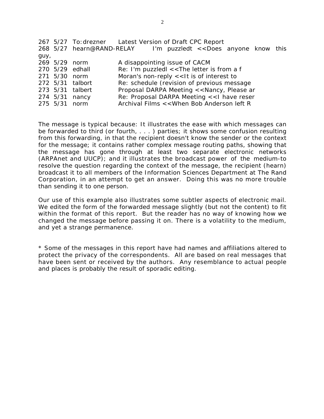|      |               |                  | 267 5/27 To: drezner Latest Version of Draft CPC Report         |
|------|---------------|------------------|-----------------------------------------------------------------|
|      |               |                  | 268 5/27 hearn@RAND-RELAY I'm puzzledt << Does anyone know this |
| guy, |               |                  |                                                                 |
|      | 269 5/29 norm |                  | A disappointing issue of CACM                                   |
|      |               | 270 5/29 edhall  | Re: I'm puzzledl $<<$ The letter is from a f                    |
|      | 271 5/30 norm |                  | Moran's non-reply $<<$ It is of interest to                     |
|      |               | 272 5/31 talbort | Re: schedule (revision of previous message                      |
|      |               | 273 5/31 talbert | Proposal DARPA Meeting << Nancy, Please ar                      |
|      |               | 274 5/31 nancy   | Re: Proposal DARPA Meeting < <i have="" reser<="" td=""></i>    |
|      | 275 5/31 norm |                  | Archival Films << When Bob Anderson left R                      |
|      |               |                  |                                                                 |

The message is typical because: It illustrates the ease with which messages can be forwarded to third (or fourth, . . . ) parties; it shows some confusion resulting from this forwarding, in that the recipient doesn't know the sender or the context for the message; it contains rather complex message routing paths, showing that the message has gone through at least two separate electronic networks (ARPAnet and UUCP); and it illustrates the broadcast power of the medium-to resolve the question regarding the context of the message, the recipient (hearn) broadcast it to all members of the Information Sciences Department at The Rand Corporation, in an attempt to get an answer. Doing this was no more trouble than sending it to one person.

Our use of this example also illustrates some subtler aspects of electronic mail. We edited the form of the forwarded message slightly (but not the content) to fit within the format of this report. But the reader has no way of knowing how we changed the message before passing it on. There is a volatility to the medium, and yet a strange permanence.

\* Some of the messages in this report have had names and affiliations altered to protect the privacy of the correspondents. All are based on real messages that have been sent or received by the authors. Any resemblance to actual people and places is probably the result of sporadic editing.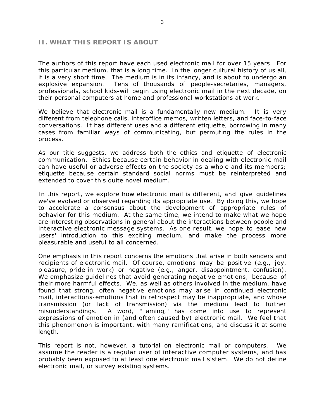#### **II. WHAT THIS REPORT IS ABOUT**

The authors of this report have each used electronic mail for over 15 years. For this particular medium, that is a long time. In the longer cultural history of us all, it is a very short time. The medium is in its infancy, and is about to undergo an explosive expansion. Tens of thousands of people-secretaries, managers, professionals, school kids-will begin using electronic mail in the next decade, on their personal computers at home and professional workstations at work.

We believe that electronic mail is a fundamentally new medium. It is very different from telephone calls, interoffice memos, written letters, and face-to-face conversations. It has different uses and a different etiquette, borrowing in many cases from familiar ways of communicating, but permuting the rules in the process.

As our title suggests, we address both the ethics and etiquette of electronic communication. Ethics because certain behavior in dealing with electronic mail can have useful or adverse effects on the society as a whole and its members; etiquette because certain standard social norms must be reinterpreted and extended to cover this quite novel medium.

In this report, we explore how electronic mail is different, and give guidelines we've evolved or observed regarding its appropriate use. By doing this, we hope to accelerate a consensus about the development of appropriate rules of behavior for this medium. At the same time, we intend to make what we hope are interesting observations in general about the interactions between people and interactive electronic message systems. As one result, we hope to ease new users' introduction to this exciting medium, and make the process more pleasurable and useful to all concerned.

One emphasis in this report concerns the emotions that arise in both senders and recipients of electronic mail. Of course, emotions may be positive (e.g., joy, pleasure, pride in work) or negative (e.g., anger, disappointment, confusion). We emphasize guidelines that avoid generating negative emotions, because of their more harmful effects. We, as well as others involved in the medium, have found that strong, often negative emotions may arise in continued electronic mail, interactions-emotions that in retrospect may be inappropriate, and whose transmission (or lack of transmission) via the medium lead to further misunderstandings. A word, "flaming," has come into use to represent expressions of emotion in (and often caused by) electronic mail. We feel that this phenomenon is important, with many ramifications, and discuss it at some length.

This report is not, however, a tutorial on electronic mail or computers. We assume the reader is a regular user of interactive computer systems, and has probably been exposed to at least one electronic mail s'stem. We do not define electronic mail, or survey existing systems.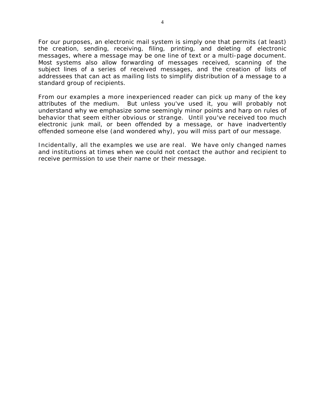For our purposes, an electronic mail system is simply one that permits (at least) the creation, sending, receiving, filing, printing, and deleting of electronic messages, where a message may be one line of text or a multi-page document. Most systems also allow forwarding of messages received, scanning of the subject lines of a series of received messages, and the creation of lists of addressees that can act as mailing lists to simplify distribution of a message to a standard group of recipients.

From our examples a more inexperienced reader can pick up many of the key attributes of the medium. But unless you've used it, you will probably not understand why we emphasize some seemingly minor points and harp on rules of behavior that seem either obvious or strange. Until you've received too much electronic junk mail, or been offended by a message, or have inadvertently offended someone else (and wondered why), you will miss part of our message.

Incidentally, all the examples we use are real. We have only changed names and institutions at times when we could not contact the author and recipient to receive permission to use their name or their message.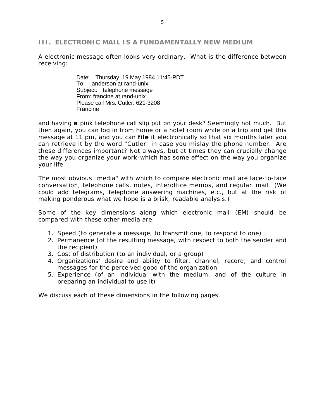## **III. ELECTRONIC MAIL IS A FUNDAMENTALLY NEW MEDIUM**

A electronic message often looks very ordinary. What is the difference between receiving:

> Date: Thursday, 19 May 1984 11:45-PDT To: anderson at rand-unix Subject: telephone message From: francine at rand-unix Please call Mrs. Cutler. 621-3208 Francine

and having **a** pink telephone call slip put on your desk? Seemingly not much. But then again, you can log in from home or a hotel room while on a trip and get this message at 11 pm, and you can **file** it electronically so that six months later you can retrieve it by the word "Cutler" in case you mislay the phone number. Are these differences important? Not always, but at times they can crucially change the way you organize your work-which has some effect on the way you organize your life.

The most obvious "media" with which to compare electronic mail are face-to-face conversation, telephone calls, notes, interoffice memos, and regular mail. (We could add telegrams, telephone answering machines, etc., but at the risk of making ponderous what we hope is a brisk, readable analysis.)

Some of the key dimensions along which electronic mail (EM) should be compared with these other media are:

- 1. Speed (to generate a message, to transmit one, to respond to one)
- 2. Permanence (of the resulting message, with respect to both the sender and the recipient)
- 3. Cost of distribution (to an individual, or a group)
- 4. Organizations' desire and ability to filter, channel, record, and control messages for the perceived good of the organization
- 5. Experience (of an individual with the medium, and of the culture in preparing an individual to use it)

We discuss each of these dimensions in the following pages.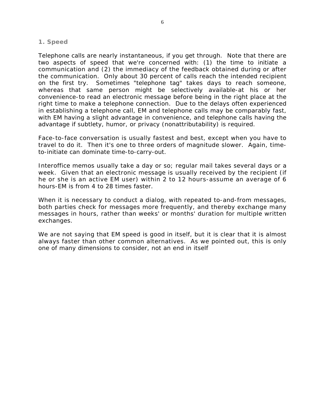#### **1. Speed**

Telephone calls are nearly instantaneous, *if you get through.* Note that there are two aspects of speed that we're concerned with: (1) the time to initiate a communication and (2) the immediacy of the feedback obtained during or after the communication. Only about 30 percent of calls reach the intended recipient on the first try. Sometimes "telephone tag" takes days to reach someone, whereas that same person might be selectively available-at *his or her* convenience-to read an electronic message before being in the right place at the right time to make a telephone connection. Due to the delays often experienced in establishing a telephone call, EM and telephone calls may be comparably fast, with EM having a slight advantage in convenience, and telephone calls having the advantage if subtlety, humor, or privacy (nonattributability) is required.

Face-to-face conversation is usually fastest and best, except when you have to travel to do it. Then it's one to three orders of magnitude slower. Again, timeto-initiate can dominate time-to-carry-out.

Interoffice memos usually take a day or so; regular mail takes several days or a week. Given that an electronic message is usually received by the recipient (if he or she is an active EM user) within 2 to 12 hours-assume an average of 6 hours-EM is from 4 to 28 times faster.

When it is necessary to conduct a dialog, with repeated to-and-from messages, both parties check for messages more frequently, and thereby exchange many messages in hours, rather than weeks' or months' duration for multiple written exchanges.

We are not saying that EM speed is good in itself, but it is clear that it is almost always faster than other common alternatives. As we pointed out, this is only one of many dimensions to consider, not an end in itself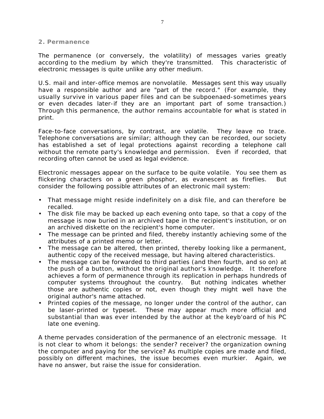**2. Permanence**

The permanence (or conversely, the volatility) of messages varies greatly according to the medium by which they're transmitted. This characteristic of electronic messages is quite unlike any other medium.

U.S. mail and inter-office memos are nonvolatile. Messages sent this way usually have a responsible author and are "part of the record." (For example, they usually survive in various paper files and can be subpoenaed-sometimes years or even decades later-if they are an important part of some transaction.) Through this permanence, the author remains accountable for what is stated in print.

Face-to-face conversations, by contrast, are volatile. They leave no trace. Telephone conversations are similar; although they can be recorded, our society has established a set of legal protections against recording a telephone call without the remote party's knowledge and permission. Even if recorded, that recording often cannot be used as legal evidence.

Electronic messages appear on the surface to be quite volatile. You see them as flickering characters on a green phosphor, as evanescent as fireflies. But consider the following possible attributes of an electronic mail system:

- That message might reside indefinitely on a disk file, and can therefore be recalled.
- The disk file may be backed up each evening onto tape, so that a copy of the message is now buried in an archived tape in the recipient's institution, or on an archived diskette on the recipient's home computer.
- The message can be printed and filed, thereby instantly achieving some of the attributes of a printed memo or letter.
- The message can be *altered,* then printed, thereby looking like a permanent, authentic copy of the received message, but having altered characteristics.
- The message can be forwarded to third parties (and then fourth, and so on) at the push of a button, without the original author's knowledge. It therefore achieves a form of permanence through its replication in perhaps hundreds of computer systems throughout the country. But nothing indicates whether those are authentic copies or not, even though they might well have the original author's name attached.
- Printed copies of the message, no longer under the control of the author, can be laser-printed or typeset. These may appear much more official and substantial than was ever intended by the author at the keyb'oard of his PC late one evening.

A theme pervades consideration of the permanence of an electronic message. It is not clear to whom it belongs: the sender? receiver? the organization owning the computer and paying for the service? As multiple copies are made and filed, possibly on different machines, the issue becomes even murkier. Again, we have no answer, but raise the issue for consideration.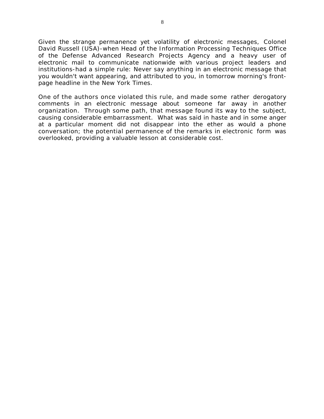Given the strange permanence yet volatility of electronic messages, Colonel David Russell (USA)-when Head of the Information Processing Techniques Office of the Defense Advanced Research Projects Agency and a heavy user of electronic mail to communicate nationwide with various project leaders and institutions-had a simple rule: Never say anything in an electronic message that you wouldn't want appearing, and attributed to you, in tomorrow morning's frontpage headline in the *New York Times.*

One of the authors once violated this rule, and made some rather derogatory comments in an electronic message about someone far away in another organization. Through some path, that message found its way to the subject, causing considerable embarrassment. What was said in haste and in some anger at a particular moment did not disappear into the ether as would a phone conversation; the potential permanence of the remarks in electronic form was overlooked, providing a valuable lesson at considerable cost.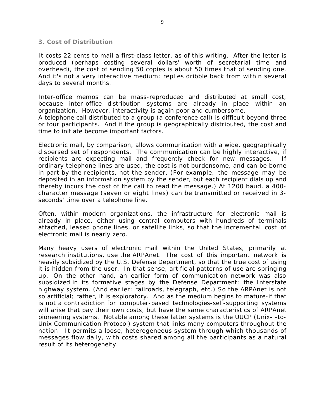#### **3. Cost of Distribution**

It costs 22 cents to mail a first-class letter, as of this writing. After the letter is produced (perhaps costing several dollars' worth of secretarial time and overhead), the cost of sending 50 copies is about 50 times that of sending one. And it's not a very interactive medium; replies dribble back from within several days to several months.

Inter-office memos can be mass-reproduced and distributed at small cost, because inter-office distribution systems are already in place within an organization. However, interactivity is again poor and cumbersome.

A telephone call distributed to a group (a conference call) is difficult beyond three or four participants. And if the group is geographically distributed, the cost and time to initiate become important factors.

Electronic mail, by comparison, allows communication with a wide, geographically dispersed set of respondents. The communication can be highly interactive, if recipients are expecting mail and frequently check for new messages. If ordinary telephone lines are used, the cost is not burdensome, and can be borne in part by the recipients, not the sender. (For example, the message may be deposited in an information system by the sender, but each recipient dials up and thereby incurs the cost of the call to read the message.) At 1200 baud, a 400 character message (seven or eight lines) can be transmitted or received in 3 seconds' time over a telephone line.

Often, within modern organizations, the infrastructure for electronic mail is already in place, either using central computers with hundreds of terminals attached, leased phone lines, or satellite links, so that the incremental cost of electronic mail is nearly zero.

Many heavy users of electronic mail within the United States, primarily at research institutions, use the ARPAnet. The cost of this important network is heavily subsidized by the U.S. Defense Department, so that the true cost of using it is hidden from the user. In that sense, artificial patterns of use are springing up. On the other hand, an earlier form of communication network was also subsidized in its formative stages by the Defense Department: the Interstate highway system. (And earlier: railroads, telegraph, etc.) So the ARPAnet is not so artificial; rather, it is exploratory. And as the medium begins to mature-if that is not a contradiction for computer-based technologies-self-supporting systems will arise that pay their own costs, but have the same characteristics of ARPAnet pioneering systems. Notable among these latter systems is the UUCP (Unix- -to-Unix Communication Protocol) system that links many computers throughout the nation. It permits a loose, heterogeneous system through which thousands of messages flow daily, with costs shared among all the participants as a natural result of its heterogeneity.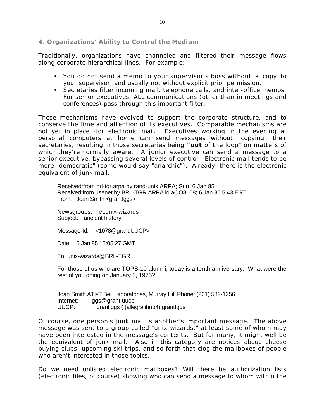**4. Organizations' Ability to Control the Medium**

Traditionally, organizations have channeled and filtered their message flows along corporate hierarchical lines. For example:

- You do not send a memo to your supervisor's boss without a copy to your supervisor, and usually not without explicit prior permission.
- Secretaries filter incoming mail, telephone calls, and inter-office memos. For senior executives, ALL communications (other than in meetings and conferences) pass through this important filter.

These mechanisms have evolved to support the corporate structure, and to conserve the time and attention of its executives. Comparable mechanisms are not yet in place -for electronic mail. Executives working in the evening at personal computers at home can send messages without "copying" their secretaries, resulting in those secretaries being **"out** of the loop" on matters of which they're normally aware. A junior executive can send a message to a senior executive, bypassing several levels of control. Electronic mail tends to be more "democratic" (some would say "anarchic"). Already, there is the electronic equivalent of junk mail:

Received:from brl-tgr.arpa by rand-unix.ARPA; Sun, 6 Jan 85 Received:from usenet by BRL-TGR.ARPA id aOO8108; 6 Jan 85 5:43 EST From: Joan Smith <grant!ggs>

Newsgroups: net.unix-wizards Subject: ancient history

Message-Id: <1078@grant.UUCP>

Date: 5 Jan 85 15:05:27 GMT

To: unix-wizards@BRL-TGR

For those of us who are TOPS-10 alumni, today is a tenth anniversary. What were the rest of you doing on January 5, 1975?

Joan Smith AT&T Bell Laboratories, Murray Hill Phone: (201) 582-1256 Internet: ggs@grant.uucp UUCP: grantiggs ( (allegralihnp4)!grant!ggs

Of course, one person's junk mail is another's important message. The above message was sent to a group called "unix-wizards," at least some of whom may have been interested in the message's contents. But for many, it might well be the equivalent of junk mail. Also in this category are notices about cheese buying clubs, upcoming ski trips, and so forth that clog the mailboxes of people who aren't interested in those topics.

Do we need unlisted electronic mailboxes? Will there be authorization lists (electronic files, of course) showing who can send a message to whom within the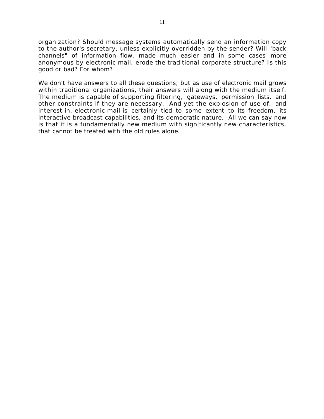organization? Should message systems automatically send an information copy to the author's secretary, unless explicitly overridden by the sender? Will "back channels" of information flow, made much easier and in some cases more anonymous by electronic mail, erode the traditional corporate structure? Is this good or bad? For whom?

We don't have answers to all these questions, but as use of electronic mail grows within traditional organizations, their answers will along with the medium itself. The medium is capable of supporting filtering, gateways, permission lists, and other constraints if they are necessary. And yet the explosion of use of, and interest in, electronic mail is certainly tied to some extent to its freedom, its interactive broadcast capabilities, and its democratic nature. All we can say now is that it is a fundamentally new medium with significantly new characteristics, that cannot be treated with the old rules alone.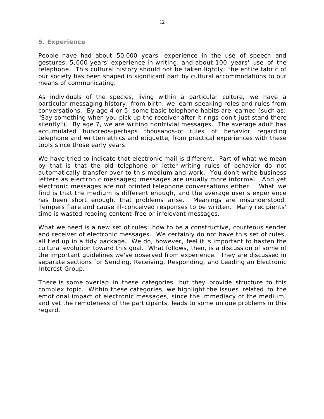#### **5. Experience**

People have had about 50,000 years' experience in the use of speech and gestures, 5,000 years' experience in writing, and about 100 years' use of the telephone. This cultural history should not be taken lightly; the entire fabric of our society has been shaped in significant part by cultural accommodations to our means of communicating.

As individuals of the species, living within a particular culture, we have a particular messaging history: from birth, we learn speaking roles and rules from conversations. By age 4 or 5, some basic telephone habits are learned (such as: "Say something when you pick up the receiver after it rings-don't just stand there silently"). By age 7, we are writing nontrivial messages. The average adult has accumulated hundreds-perhaps thousands-of rules of behavior regarding telephone and written ethics and etiquette, from practical experiences with these tools since those early years.

We have tried to indicate that electronic mail is different. Part of what we mean by that is that the old telephone or letter-writing rules of behavior do not automatically transfer over to this medium and work. You don't write business letters as electronic messages; messages are usually more informal. And yet electronic messages are not printed telephone conversations either. What we find is that the medium is different enough, and the average user's experience has been short enough, that problems arise. Meanings are misunderstood. Tempers flare and cause ill-conceived responses to be written. Many recipients' time is wasted reading content-free or irrelevant messages.

What we need is a new set of rules: how to be a constructive, courteous sender and receiver of electronic messages. We certainly do not have this set of rules, all tied up in a tidy package. We do, however, feel it is important to hasten the cultural evolution toward this goal. What follows, then, is a discussion of some of the important guidelines we've observed from experience. They are discussed in separate sections for Sending, Receiving, Responding, and Leading an Electronic Interest Group.

There is some overlap in these categories, but they provide structure to this complex topic. Within these categories, we highlight the issues related to the emotional impact of electronic messages, since the immediacy of the medium, and yet the remoteness of the participants, leads to some unique problems in this regard.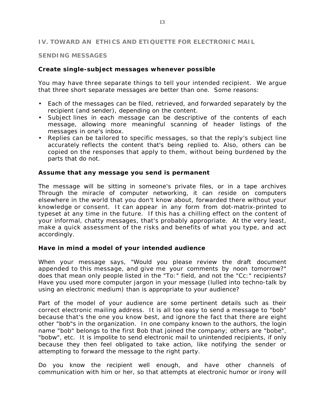## **IV. TOWARD AN ETHICS AND ETIQUETTE FOR ELECTRONIC MAIL**

#### **SENDING MESSAGES**

## **Create single-subject messages whenever possible**

You may have three separate things to tell your intended recipient. We argue that three short separate messages are better than one. Some reasons:

- Each of the messages can be filed, retrieved, and forwarded separately by the recipient (and sender), depending on the content.
- Subject lines in each message can be descriptive of the contents of each message, allowing more meaningful scanning of header listings of the messages in one's inbox.
- Replies can be tailored to specific messages, so that the reply's subject line accurately reflects the content that's being replied to. Also, others can be copied on the responses that apply to them, without being burdened by the parts that do not.

## **Assume that any message you send is permanent**

The message will be sitting in someone's private files, or in a tape archives Through the miracle of computer networking, it can reside on computers elsewhere in the world that you don't know about, forwarded there without your knowledge or consent. It can appear in any form from dot-matrix-printed to typeset at any time in the future. If this has a chilling effect on the content of your informal, chatty messages, that's probably appropriate. At the very least, make a quick assessment of the risks and benefits of what you type, and act accordingly.

## **Have in mind a model of your intended audience**

When your message says, "Would you please review the draft document appended to this message, and give me your comments by noon tomorrow?" does that mean only people listed in the "To:" field, and not the "Cc:" recipients? Have you used more computer jargon in your message (lulled into techno-talk by using an electronic medium) than is appropriate to your audience?

Part of the model of your audience are some pertinent details such as their correct electronic mailing address. It is all too easy to send a message to "bob" because that's the one you know best, and ignore the fact that there are eight other "bob"s in the organization. In one company known to the authors, the login name "bob" belongs to the first Bob that joined the company; others are "bobe", "bobw", etc. It is impolite to send electronic mail to unintended recipients, if only because they then feel obligated to take action, like notifying the sender or attempting to forward the message to the right party.

Do you know the recipient well enough, and have other channels of communication with him or her, so that attempts at electronic humor or irony will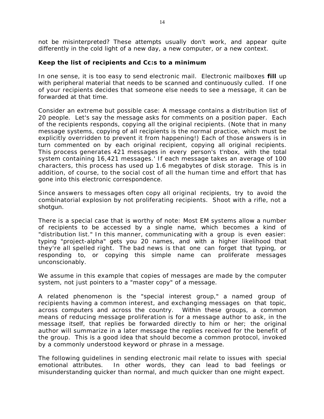not be misinterpreted? These attempts usually don't work, and appear quite differently in the cold light of a new day, a new computer, or a new context.

# **Keep the list of recipients and Cc:s to a minimum**

In one sense, it is too easy to send electronic mail. Electronic mailboxes **fill** up with peripheral material that needs to be scanned and continuously culled. If one of your recipients decides that someone else needs to see a message, it can be forwarded at that time.

Consider an extreme but possible case: A message contains a distribution list of 20 people. Let's say the message asks for comments on a position paper. Each of the recipients responds, copying all the original recipients. (Note that in many message systems, copying of all recipients is the normal practice, which must be explicitly overridden to prevent it from happening!) Each of those answers is in turn commented on by each original recipient, copying all original recipients. This process generates 421 messages in *every person's* t'nbox, with the total system containing 16,421 messages.' If each message takes an average of 100 characters, this process has used up 1.6 megabytes of disk storage. This is in addition, of course, to the social cost of all the human time and effort that has gone into this electronic correspondence.

Since answers to messages often copy all original recipients, try to avoid the combinatorial explosion by not proliferating recipients. Shoot with a rifle, not a shotgun.

There is a special case that is worthy of note: Most EM systems allow a number of recipients to be accessed by a single name, which becomes a kind of "distribution list." In this manner, communicating with a group is even easier: typing "project-alpha" gets you 20 names, and with a higher likelihood that they're all spelled right. The bad news is that one can forget that typing, or responding to, or copying this simple name can proliferate messages unconscionably.

We assume in this example that copies of messages are made by the computer system, not just pointers to a "master copy" of a message.

A related phenomenon is the "special interest group," a named group of recipients having a common interest, and exchanging messages on that topic, across computers and across the country. Within these groups, a common means of reducing message proliferation is for a message author to ask, in the message itself, that replies be forwarded directly to him or her; the original author will summarize in a later message the replies received for the benefit of the group. This is a good idea that should become a common protocol, invoked by a commonly understood keyword or phrase in a message.

The following guidelines in sending electronic mail relate to issues with special emotional attributes. In other words, they can lead to bad feelings or misunderstanding quicker than normal, and much quicker than one might expect.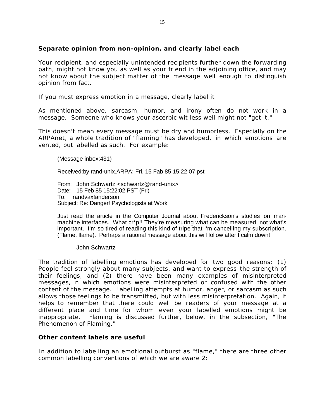# **Separate opinion from non-opinion, and clearly label each**

Your recipient, and especially unintended recipients further down the forwarding path, might not know you as well as your friend in the adjoining office, and may not know about the subject matter of the message well enough to distinguish opinion from fact.

If you must express emotion in a message, clearly label it

As mentioned above, sarcasm, humor, and irony often do not work in a message. Someone who knows your ascerbic wit less well might not "get it."

This doesn't mean every message must be dry and humorless. Especially on the ARPAnet, a whole tradition of "flaming" has developed, in which emotions are vented, but labelled as such. For example:

(Message inbox:431)

Received:by rand-unix.ARPA; Fri, 15 Fab 85 15:22:07 pst

From: John Schwartz <schwartz@rand-unix> Date: 15 Feb 85 15:22:02 PST (Fri) To: randvax!anderson Subject: Re: Danger! Psychologists at Work

Just read the article in the Computer Journal about Frederickson's studies on manmachine interfaces. What cr\*p!! They're measuring what can be measured, not what's important. I'm so tired of reading this kind of tripe that I'm cancelling my subscription. (Flame, flame). Perhaps a rational message about this will follow after I calm down!

John Schwartz

The tradition of labelling emotions has developed for two good reasons: (1) People feel strongly about many subjects, and want to express the strength of their feelings, and (2) there have been many examples of misinterpreted messages, in which emotions were misinterpreted or confused with the other content of the message. Labelling attempts at humor, anger, or sarcasm as such allows those feelings to be transmitted, but with less misinterpretation. Again, it helps to remember that there could well be readers of your message at a different place and time for whom even your labelled emotions might be inappropriate. Flaming is discussed further, below, in the subsection, "The Phenomenon of Flaming."

## **Other content labels are useful**

In addition to labelling an emotional outburst as "flame," there are three other common labelling conventions of which we are aware 2: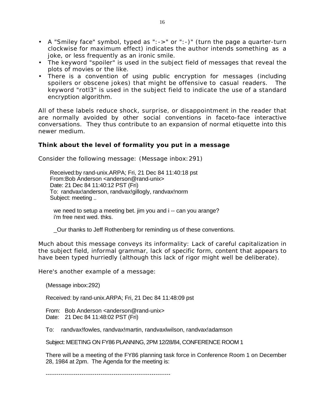- A "Smiley face" symbol, typed as ":->" or ":-)" (turn the page a quarter-turn clockwise for maximum effect) indicates the author intends something as a joke, or less frequently as an ironic smile.
- The keyword "spoiler" is used in the subject field of messages that reveal the plots of movies or the like.
- There is a convention of using public encryption for messages (including spoilers or obscene jokes) that might be offensive to casual readers. The keyword "rotl3" is used in the subject field to indicate the use of a standard encryption algorithm.

All of these labels reduce shock, surprise, or disappointment in the reader that are normally avoided by other social conventions in faceto-face interactive conversations. They thus contribute to an expansion of normal etiquette into this newer medium.

# **Think about the level of formality you put in a message**

Consider the following message: (Message inbox:291)

Received:by rand-unix.ARPA; Fri, 21 Dec 84 11:40:18 pst From:Bob Anderson <anderson@rand-unix> Date: 21 Dec 84 11:40:12 PST (Fri) To: randvax!anderson, randvax!gillogly, randvax!norm Subject: meeting ..

we need to setup a meeting bet. jim you and i -- can you arange? i'm free next wed. thks.

\_Our thanks to Jeff Rothenberg for reminding us of these conventions.

Much about this message conveys its informality: Lack of careful capitalization in the subject field, informal grammar, lack of specific form, content that appears to have been typed hurriedly (although this lack of rigor might well be deliberate).

Here's another example of a message:

(Message inbox:292)

Received: by rand-unix.ARPA; Fri, 21 Dec 84 11:48:09 pst

From: Bob Anderson <anderson@rand-unix> Date: 21 Dec 84 11:48:02 PST (Fri)

To: randvax!fowles, randvax!martin, randvaxlwilson, randvax!adamson

Subject: MEETING ON FY86 PLANNING, 2PM 12/28/84, CONFERENCE ROOM 1

There will be a meeting of the FY86 planning task force in Conference Room 1 on December 28, 1984 at 2pm. The Agenda for the meeting is:

-----------------------------------------------------------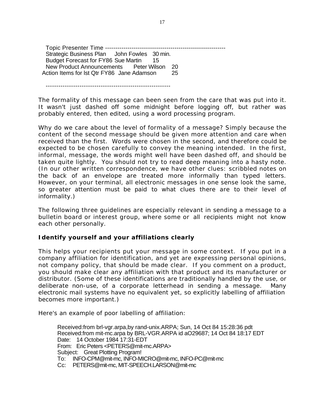Topic Presenter Time ----------------------------------------------------------- Strategic Business Plan John Fowles 30 min. Budget Forecast for FY86 Sue Martin 15 New Product Announcements Peter Wilson 20 Action Items for lst Qtr FY86 Jane Adamson 25

-----------------------------------------------------------

The formality of this message can been seen from the care that was put into it. It wasn't just dashed off some midnight before logging off, but rather was probably entered, then edited, using a word processing program.

Why do we care about the level of formality of a message? Simply because the content of the second message should be given more attention and care when received than the first. Words were chosen in the second, and therefore could be expected to be chosen carefully to convey the meaning intended. In the first, informal, message, the words might well have been dashed off, and should be taken quite lightly. You should not try to read deep meaning into a hasty note. (In our other written correspondence, we have other clues: scribbled notes on the back of an envelope are treated more informally than typed letters. However, on your terminal, all electronic messages in one sense look the same, so greater attention must be paid to what clues there are to their level of informality.)

The following three guidelines are especially relevant in sending a message to a bulletin board or interest group, where some or all recipients might not know each other personally.

# **Identify yourself and your affiliations clearly**

This helps your recipients put your message in some context. If you put in a company affiliation for identification, and yet are expressing personal opinions, not company policy, that should be made clear. If you comment on a product, you should make clear any affiliation with that product and its manufacturer or distributor. (Some of these identifications are traditionally handled by the use, or deliberate non-use, of a corporate letterhead in sending a message. Many electronic mail systems have no equivalent yet, so explicitly labelling of affiliation becomes more important.)

Here's an example of poor labelling of affiliation:

Received:from brl-vgr.arpa,by rand-unix.ARPA; Sun, 14 Oct 84 15:28:36 pdt Received:from mit-mc.arpa by BRL-VGR.ARPA id aO29687; 14 Oct 84 18:17 EDT Date: 14 October 1984 17:31-EDT From: Eric Peters <PETERS@mit-mc.ARPA> Subject: Great Plotting Program! To: INFO-CPM@mit-mc, INFO-MICRO@mit-mc, INFO-PC@mit-mc Cc: PETERS@mit-mc, MIT-SPEECH.LARSON@mit-mc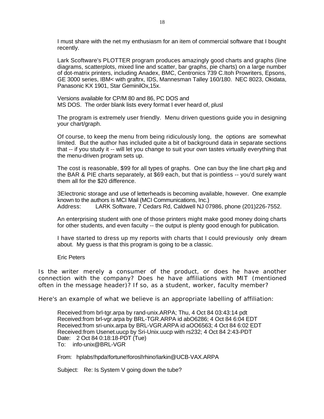I must share with the net my enthusiasm for an item of commercial software that I bought recently.

Lark Scoftware's PLOTTER program produces amazingly good charts and graphs (line diagrams, scatterplots, mixed line and scatter, bar graphs, pie charts) on a large number of dot-matrix printers, including Anadex, BMC, Centronics 739 C.Itoh Prowriters, Epsons, GE 3000 series, IBM< with graftrx, IDS, Mannesman Talley 160/180. NEC 8023, Okidata, Panasonic KX 1901, Star GeminilOx,15x.

Versions available for CP/M 80 and 86, PC DOS and MS DOS. The order blank lists every format I ever heard of, plusl

The program is extremely user friendly. Menu driven questions guide you in designing your chart/graph.

Of course, to keep the menu from being ridiculously long, the options are somewhat limited. But the author has included quite a bit of background data in separate sections that -- if you study it -- will let you change to suit your own tastes virtually everything that the menu-driven program sets up.

The cost is reasonable, \$99 for all types of graphs. One can buy the line chart pkg and the BAR & PIE charts separately, at \$69 each, but that is pointless -- you'd surely want them all for the \$20 difference.

3EIectronic storage and use of letterheads is becoming available, however. One example known to the authors is MCI Mail (MCI Communications, Inc.) Address: LARK Software, 7 Cedars Rd, Caldwell NJ 07986, phone (201)226-7552.

An enterprising student with one of those printers might make good money doing charts for other students, and even faculty -- the output is plenty good enough for publication.

I have started to dress up my reports with charts that I could previously only dream about. My guess is that this program is going to be a classic.

Eric Peters

Is the writer merely a consumer of the product, or does he have another connection with the company? Does he have affiliations with MIT (mentioned often in the message header)? If so, as a student, worker, faculty member?

Here's an example of what we believe is an appropriate labelling of affiliation:

Received:from brl-tgr.arpa by rand-unix.ARPA; Thu, 4 Oct 84 03:43:14 pdt Received:from brl-vgr.arpa by BRL-TGR.ARPA id abO6286; 4 Oct 84 6:04 EDT Received:from sri-unix.arpa by BRL-VGR.ARPA id aOO6563; 4 Oct 84 6:02 EDT Received:from Usenet.uucp by Sri-Unix.uucp with rs232; 4 Oct 84 2:43-PDT Date: 2 Oct 84 0:18:18-PDT (Tue) To: info-unix@BRL-VGR

From: hplabs!hpda!fortune!forosl!rhino!larkin@UCB-VAX.ARPA

Subject: Re: Is System V going down the tube?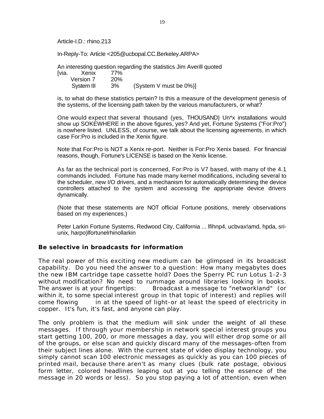Article-I.D.: rhino.213

In-Reply-To: Article <205@ucbopal.CC.Berkeley.ARPA>

An interesting question regarding the statistics Jim Averill quoted

| Ivia. | Xenix      | 77%        |                        |
|-------|------------|------------|------------------------|
|       | Version 7  | <b>20%</b> |                        |
|       | System III | 3%         | (System V must be 0%)] |

is, to what do these statistics pertain? Is this a measure of the development genesis of the systems, of the licensing path taken by the various manufacturers, or what?

One would expect that several thousand (yes, THOUSAND) Un\*x installations would show up SOKEWHERE in the above figures, yes? And yet, Fortune Systems ("For:Pro") is nowhere listed. UNLESS, of course, we talk about the licensing agreements, in which case For:Pro is included in the Xenix figure.

Note that For:Pro is NOT a Xenix re-port. Neither is For:Pro Xenix based. For financial reasons, though, Fortune's LICENSE is based on the Xenix license.

As far as the technical port is concerned, For:Pro is V7 based, with many of the 4.1 commands included. Fortune has made many kernel modifications, including several to the scheduler, new I/O drivers, and a mechanism for automatically determining the device controllers attached to the system and accessing the appropriate device drivers dynamically.

(Note that these statements are NOT official Fortune positions, merely observations based on my experiences.)

Peter Larkin Fortune Systems, Redwood City, California ... lfihnp4, ucbvax!amd, hpda, sriunix, harpo)lfortunelrhinollarkin

## **Be selective in broadcasts for information**

The real power of this exciting new medium can be glimpsed in its broadcast capability. Do you need the answer to a question: How many megabytes does the new IBM cartridge tape cassette hold? Does the Sperry PC run Lotus 1-2-3 without modification? No need to rummage around libraries looking in books. The answer is at your fingertips: Broadcast a message to "networkland" (or within it, to some special interest group in that topic of interest) and replies will come flowing in at the speed of light-or at least the speed of electricity in copper. It's fun, it's fast, and anyone can play.

The only problem is that the medium will sink under the weight of all these messages. If through your membership in network special interest groups you start getting 100, 200, or more messages a day, you will either drop some or all of the groups, or else scan and quickly discard many of the messages-often from their subject lines alone. With the current state of video display technology, you simply cannot scan 100 electronic messages as quickly as you can 100 pieces of printed mail, because there aren't as many clues (bulk rate postage, obvious form letter, colored headlines leaping out at you telling the essence of the message in 20 words or less). So you stop paying a lot of attention, even when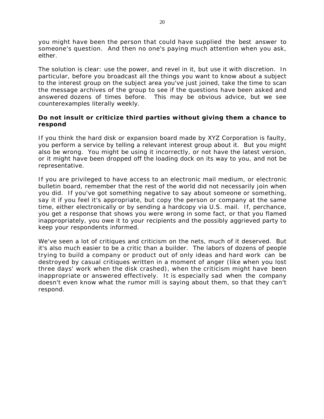you might have been the person that could have supplied the best answer to someone's question. And then no one's paying much attention when you ask, either.

The solution is clear: use the power, and revel in it, but use it with discretion. In particular, before you broadcast all the things you want to know about a subject to the interest group on the subject area you've just joined, take the time to scan the message archives of the group to see if the questions have been asked and answered dozens of times before. This may be obvious advice, but we see counterexamples literally weekly.

# **Do not insult or criticize third parties without giving them a chance to respond**

If you think the hard disk or expansion board made by XYZ Corporation is faulty, you perform a service by telling a relevant interest group about it. But you might also be wrong. You might be using it incorrectly, or not have the latest version, or it might have been dropped off the loading dock on its way to you, and not be representative.

If you are privileged to have access to an electronic mail medium, or electronic bulletin board, remember that the rest of the world did not necessarily join when you did. If you've got something negative to say about someone or something, say it if you feel it's appropriate, but copy the person or company at the same time, either electronically or by sending a hardcopy via U.S. mail. If, perchance, you get a response that shows you were wrong in some fact, or that you flamed inappropriately, you owe it to your recipients and the possibly aggrieved party to keep your respondents informed.

We've seen a lot of critiques and criticism on the nets, much of it deserved. But it's also much easier to be a critic than a builder. The labors of dozens of people trying to build a company or product out of only ideas and hard work can be destroyed by casual critiques written in a moment of anger (like when you lost three days' work when the disk crashed), when the criticism might have been inappropriate or answered effectively. It is especially sad when the company doesn't even know what the rumor mill is saying about them, so that they can't respond.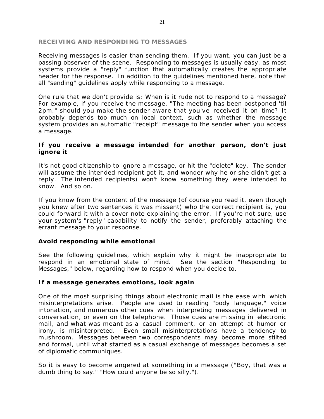### **RECEIVING AND RESPONDING TO MESSAGES**

Receiving messages is easier than sending them. If you want, you can just be a passing observer of the scene. Responding to messages is usually easy, as most systems provide a "reply" function that automatically creates the appropriate header for the response. In addition to the guidelines mentioned here, note that all "sending" guidelines apply while responding to a message.

One rule that we don't provide is: When is it rude not to respond to a message? For example, if you receive the message, "The meeting has been postponed 'til 2pm," should you make the sender aware that you've received it on time? It probably depends too much on local context, such as whether the message system provides an automatic "receipt" message to the sender when you access a message.

## **If you receive a message intended for another person, don't just ignore it**

It's not good citizenship to ignore a message, or hit the "delete" key. The sender will assume the intended recipient got it, and wonder why he or she didn't get a reply. The intended recipients) won't know something they were intended to know. And so on.

If you know from the content of the message (of course you read it, even though you knew after two sentences it was missent) who the correct recipient is, you could forward it with a cover note explaining the error. If you're not sure, use your system's "reply" capability to notify the sender, preferably attaching the errant message to your response.

# **Avoid responding while emotional**

See the following guidelines, which explain why it might be inappropriate to respond in an emotional state of mind. See the section "Responding to Messages," below, regarding how to respond when you decide to.

# **If a message generates emotions, look again**

One of the most surprising things about electronic mail is the ease with which misinterpretations arise. People are used to reading "body language," voice intonation, and numerous other cues when interpreting messages delivered in conversation, or even on the telephone. Those cues are missing in electronic mail, and what was meant as a casual comment, or an attempt at humor or irony, is misinterpreted. Even small misinterpretations have a tendency to mushroom. Messages between two correspondents may become more stilted and formal, until what started as a casual exchange of messages becomes a set of diplomatic communiques.

So it is easy to become angered at something in a message ("Boy, that was a dumb thing to say." "How could anyone be so silly.").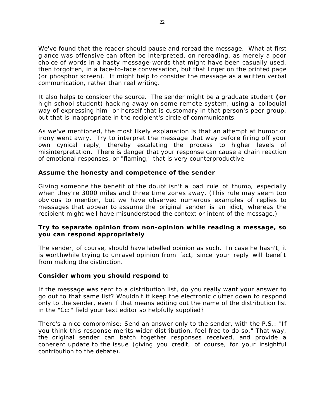We've found that the reader should pause and reread the message. What at first glance was offensive can often be interpreted, on rereading, as merely a poor choice of words in a hasty message-words that might have been casually used, then forgotten, in a face-to-face conversation, but that linger on the printed page (or phosphor screen). It might help to consider the message as a written verbal communication, rather than real writing.

It also helps to consider the source. The sender might be a graduate student **(or** high school student) hacking away on some remote system, using a colloquial way of expressing him- or herself that is customary in that person's peer group, but that is inappropriate in the recipient's circle of communicants.

As we've mentioned, the most likely explanation is that an attempt at humor or irony went awry. Try to interpret the message that way before firing off your own cynical reply, thereby escalating the process to higher levels of misinterpretation. There is danger that your response can cause a chain reaction of emotional responses, or "flaming," that is very counterproductive.

# **Assume the honesty and competence of the sender**

Giving someone the benefit of the doubt isn't a bad rule of thumb, especially when they're 3000 miles and three time zones away. (This rule may seem too obvious to mention, but we have observed numerous examples of replies to messages that appear to assume the original sender is an idiot, whereas the recipient might well have misunderstood the context or intent of the message.)

# **Try to separate opinion from non-opinion while reading a message, so you can respond appropriately**

The sender, of course, should have labelled opinion as such. In case he hasn't, it is worthwhile trying to unravel opinion from fact, since your reply will benefit from making the distinction.

# **Consider whom you should respond** to

If the message was sent to a distribution list, do you really want your answer to go out to that same list? Wouldn't it keep the electronic clutter down to respond only to the sender, even if that means editing out the name of the distribution list in the "Cc:" field your text editor so helpfully supplied?

There's a nice compromise: Send an answer only to the sender, with the P.S.: "If you think this response merits wider distribution, feel free to do so." That way, the original sender can batch together responses received, and provide a coherent update to the issue (giving you credit, of course, for your insightful contribution to the debate).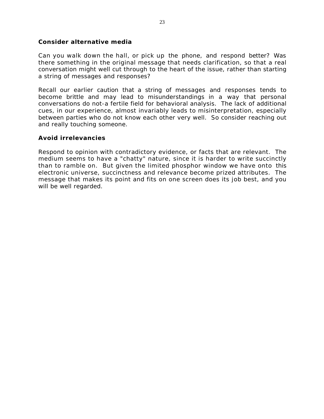## **Consider alternative media**

Can you walk down the hall, or pick up the phone, and respond better? Was there something in the original message that needs clarification, so that a real conversation might well cut through to the heart of the issue, rather than starting a string of messages and responses?

Recall our earlier caution that a string of messages and responses tends to become brittle and may lead to misunderstandings in a way that personal conversations do not-a fertile field for behavioral analysis. The lack of additional cues, in our experience, almost invariably leads to misinterpretation, especially between parties who do not know each other very well. So consider reaching out and really touching someone.

# **Avoid irrelevancies**

Respond to opinion with contradictory evidence, or facts that are relevant. The medium seems to have a "chatty" nature, since it is harder to write succinctly than to ramble on. But given the limited phosphor window we have onto this electronic universe, succinctness and relevance become prized attributes. The message that makes its point and fits on one screen does its job best, and you will be well regarded.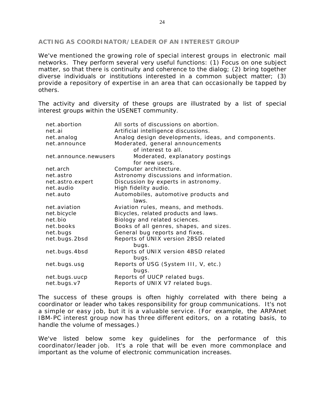#### **ACTING AS COORDINATOR/LEADER OF AN INTEREST GROUP**

We've mentioned the growing role of special interest groups in electronic mail networks. They perform several very useful functions: (1) Focus on one subject matter, so that there is continuity and coherence to the dialog; (2) bring together diverse individuals or institutions interested in a common subject matter; (3) provide a repository of expertise in an area that can occasionally be tapped by others.

The activity and diversity of these groups are illustrated by a list of special interest groups within the USENET community.

| net.abortion          | All sorts of discussions on abortion.              |  |  |  |
|-----------------------|----------------------------------------------------|--|--|--|
| net.ai                | Artificial intelligence discussions.               |  |  |  |
| net.analog            | Analog design developments, ideas, and components. |  |  |  |
| net.announce          | Moderated, general announcements                   |  |  |  |
|                       | of interest to all.                                |  |  |  |
| net.announce.newusers | Moderated, explanatory postings                    |  |  |  |
|                       | for new users.                                     |  |  |  |
| net.arch              | Computer architecture.                             |  |  |  |
| net.astro             | Astronomy discussions and information.             |  |  |  |
| net.astro.expert      | Discussion by experts in astronomy.                |  |  |  |
| net.audio             | High fidelity audio.                               |  |  |  |
| net.auto              | Automobiles, automotive products and               |  |  |  |
|                       | laws.                                              |  |  |  |
| net.aviation          | Aviation rules, means, and methods.                |  |  |  |
| net.bicycle           | Bicycles, related products and laws.               |  |  |  |
| net.bio               | Biology and related sciences.                      |  |  |  |
| net.books             | Books of all genres, shapes, and sizes.            |  |  |  |
| net.bugs              | General bug reports and fixes.                     |  |  |  |
| net.bugs.2bsd         | Reports of UNIX version 2BSD related               |  |  |  |
|                       | bugs.                                              |  |  |  |
| net.bugs.4bsd         | Reports of UNIX version 4BSD related               |  |  |  |
|                       | bugs.                                              |  |  |  |
| net.bugs.usg          | Reports of USG (System III, V, etc.)               |  |  |  |
|                       | bugs.                                              |  |  |  |
| net.bugs.uucp         | Reports of UUCP related bugs.                      |  |  |  |
| net.bugs.v7           | Reports of UNIX V7 related bugs.                   |  |  |  |
|                       |                                                    |  |  |  |

The success of these groups is often highly correlated with there being a coordinator or leader who takes responsibility for group communications. It's not a simple or easy job, but it is a valuable service. (For example, the ARPAnet IBM-PC interest group now has three different editors, on a rotating basis, to handle the volume of messages.)

We've listed below some key guidelines for the performance of this coordinator/leader job. It's a role that will be even more commonplace and important as the volume of electronic communication increases.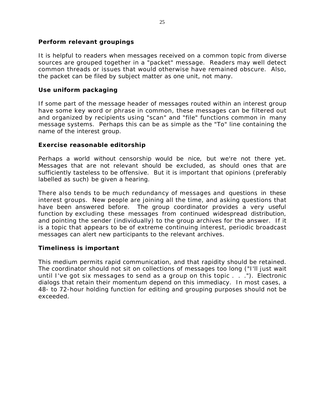# **Perform relevant groupings**

It is helpful to readers when messages received on a common topic from diverse sources are grouped together in a "packet" message. Readers may well detect common threads or issues that would otherwise have remained obscure. Also, the packet can be filed by subject matter as one unit, not many.

# **Use uniform packaging**

If some part of the message header of messages routed within an interest group have some key word or phrase in common, these messages can be filtered out and organized by recipients using "scan" and "file" functions common in many message systems. Perhaps this can be as simple as the "To" line containing the name of the interest group.

# **Exercise reasonable editorship**

Perhaps a world without censorship would be nice, but we're not there yet. Messages that are not relevant should be excluded, as should ones that are sufficiently tasteless to be offensive. But it is important that opinions (preferably labelled as such) be given a hearing.

There also tends to be much redundancy of messages and questions in these interest groups. New people are joining all the time, and asking questions that have been answered before. The group coordinator provides a very useful function by excluding these messages from continued widespread distribution, and pointing the sender (individually) to the group archives for the answer. If it is a topic that appears to be of extreme continuing interest, periodic broadcast messages can alert new participants to the relevant archives.

# **Timeliness is important**

This medium permits rapid communication, and that rapidity should be retained. The coordinator should not sit on collections of messages too long ("I'll just wait until I've got six messages to send as a group on this topic . . ."). Electronic dialogs that retain their momentum depend on this immediacy. In most cases, a 48- to 72-hour holding function for editing and grouping purposes should not be exceeded.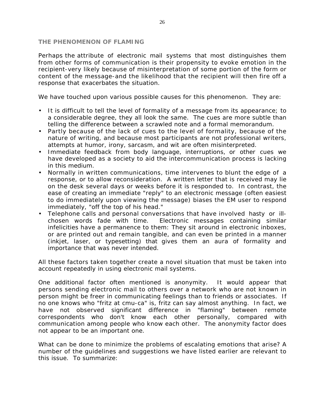#### **THE PHENOMENON OF FLAMING**

Perhaps the attribute of electronic mail systems that most distinguishes them from other forms of communication is their propensity to evoke emotion in the recipient-very likely because of misinterpretation of some portion of the form or content of the message-and the likelihood that the recipient will then fire off a response that exacerbates the situation.

We have touched upon various possible causes for this phenomenon. They are:

- It is difficult to tell the level of formality of a message from its appearance; to a considerable degree, they all look the same. The cues are more subtle than telling the difference between a scrawled note and a formal memorandum.
- Partly because of the lack of cues to the level of formality, because of the nature of writing, and because most participants are not professional writers, attempts at humor, irony, sarcasm, and wit are often misinterpreted.
- Immediate feedback from body language, interruptions, or other cues we have developed as a society to aid the intercommunication process is lacking in this medium.
- Normally in written communications, time intervenes to blunt the edge of a response, or to allow reconsideration. A written letter that is received may lie on the desk several days or weeks before it is responded to. In contrast, the ease of creating an immediate "reply" to an electronic message (often easiest to do immediately upon viewing the message) biases the EM user to respond immediately, "off the top of his head."
- Telephone calls and personal conversations that have involved hasty or illchosen words fade with time. Electronic messages containing similar infelicities have a permanence to them: They sit around in electronic inboxes, or are printed out and remain tangible, and can even be printed in a manner (inkjet, laser, or typesetting) that gives them an aura of formality and importance that was never intended.

All these factors taken together create a novel situation that must be taken into account repeatedly in using electronic mail systems.

One additional factor often mentioned is anonymity. It would appear that persons sending electronic mail to others over a network who are not known in person might be freer in communicating feelings than to friends or associates. If no one knows who "fritz at cmu-ca" is, fritz can say almost anything. In fact, we have not observed significant difference in "flaming" between remote correspondents who don't know each other personally, compared with communication among people who know each other. The anonymity factor does not appear to be an important one.

What can be done to minimize the problems of escalating emotions that arise? A number of the guidelines and suggestions we have listed earlier are relevant to this issue. To summarize: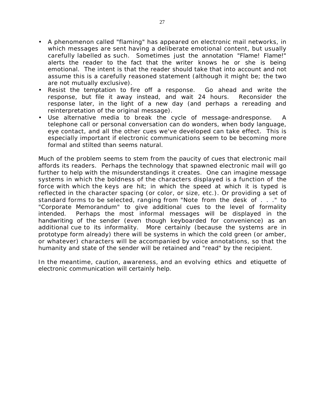- A phenomenon called "flaming" has appeared on electronic mail networks, in which messages are sent having a deliberate emotional content, but usually carefully labelled as such. Sometimes just the annotation "Flame! Flame!" alerts the reader to the fact that the writer knows he or she is being emotional. The intent is that the reader should take that into account and not assume this is a carefully reasoned statement (although it might be; the two are not mutually exclusive).
- Resist the temptation to fire off a response. Go ahead and write the response, but file it away instead, and wait 24 hours. Reconsider the response later, in the light of a new day (and perhaps a rereading and reinterpretation of the original message).
- Use alternative media to break the cycle of message-andresponse. A telephone call or personal conversation can do wonders, when body language, eye contact, and all the other cues we've developed can take effect. This is especially important if electronic communications seem to be becoming more formal and stilted than seems natural.

Much of the problem seems to stem from the paucity of cues that electronic mail affords its readers. Perhaps the technology that spawned electronic mail will go further to help with the misunderstandings it creates. One can imagine message systems in which the boldness of the characters displayed is a function of the force with which the keys are hit; in which the speed at which it is typed is reflected in the character spacing (or color, or size, etc.). Or providing a set of standard forms to be selected, ranging from "Note from the desk of . . ." to "Corporate Memorandum" to give additional cues to the level of formality intended. Perhaps the most informal messages will be displayed in the handwriting of the sender (even though keyboarded for convenience) as an additional cue to its informality. More certainly (because the systems are in prototype form already) there will be systems in which the cold green (or amber, or whatever) characters will be accompanied by voice annotations, so that the humanity and state of the sender will be retained and "read" by the recipient.

In the meantime, caution, awareness, and an evolving ethics and etiquette of electronic communication will certainly help.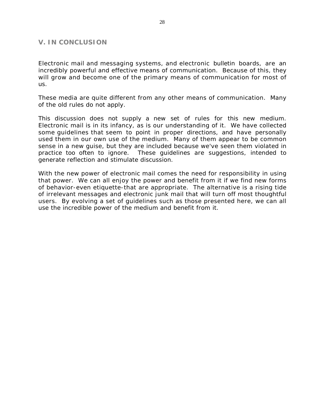## **V. IN CONCLUSION**

Electronic mail and messaging systems, and electronic bulletin boards, are an incredibly powerful and effective means of communication. Because of this, they will grow and become one of the primary means of communication for most of us.

These media are quite different from any other means of communication. Many of the old rules do not apply.

This discussion does not supply a new set of rules for this new medium. Electronic mail is in its infancy, as is our understanding of it. We have collected some guidelines that seem to point in proper directions, and have personally used them in our own use of the medium. Many of them appear to be common sense in a new guise, but they are included because we've seen them violated in practice too often to ignore. These guidelines are suggestions, intended to generate reflection and stimulate discussion.

With the new power of electronic mail comes the need for responsibility in using that power. We can all enjoy the power and benefit from it if we find new forms of behavior-even etiquette-that are appropriate. The alternative is a rising tide of irrelevant messages and electronic junk mail that will turn off most thoughtful users. By evolving a set of guidelines such as those presented here, we can all use the incredible power of the medium and benefit from it.